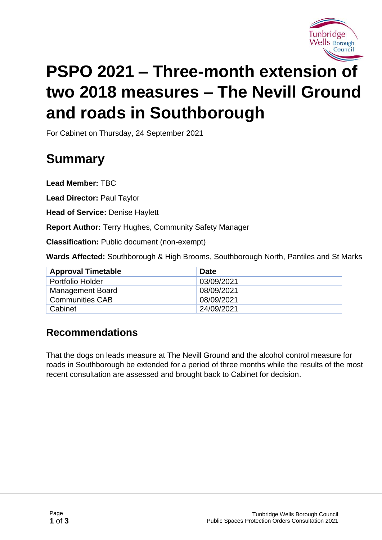

# **PSPO 2021 – Three-month extension of two 2018 measures – The Nevill Ground and roads in Southborough**

For Cabinet on Thursday, 24 September 2021

## **Summary**

**Lead Member:** TBC

**Lead Director:** Paul Taylor

**Head of Service:** Denise Haylett

**Report Author:** Terry Hughes, Community Safety Manager

**Classification:** Public document (non-exempt)

**Wards Affected:** Southborough & High Brooms, Southborough North, Pantiles and St Marks

| <b>Approval Timetable</b> | <b>Date</b> |
|---------------------------|-------------|
| Portfolio Holder          | 03/09/2021  |
| <b>Management Board</b>   | 08/09/2021  |
| <b>Communities CAB</b>    | 08/09/2021  |
| Cabinet                   | 24/09/2021  |

#### **Recommendations**

That the dogs on leads measure at The Nevill Ground and the alcohol control measure for roads in Southborough be extended for a period of three months while the results of the most recent consultation are assessed and brought back to Cabinet for decision.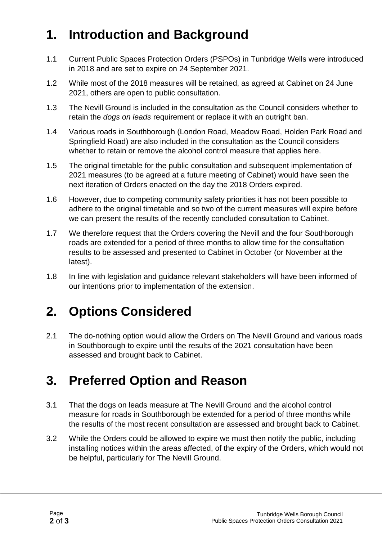## **1. Introduction and Background**

- 1.1 Current Public Spaces Protection Orders (PSPOs) in Tunbridge Wells were introduced in 2018 and are set to expire on 24 September 2021.
- 1.2 While most of the 2018 measures will be retained, as agreed at Cabinet on 24 June 2021, others are open to public consultation.
- 1.3 The Nevill Ground is included in the consultation as the Council considers whether to retain the *dogs on leads* requirement or replace it with an outright ban.
- 1.4 Various roads in Southborough (London Road, Meadow Road, Holden Park Road and Springfield Road) are also included in the consultation as the Council considers whether to retain or remove the alcohol control measure that applies here.
- 1.5 The original timetable for the public consultation and subsequent implementation of 2021 measures (to be agreed at a future meeting of Cabinet) would have seen the next iteration of Orders enacted on the day the 2018 Orders expired.
- 1.6 However, due to competing community safety priorities it has not been possible to adhere to the original timetable and so two of the current measures will expire before we can present the results of the recently concluded consultation to Cabinet.
- 1.7 We therefore request that the Orders covering the Nevill and the four Southborough roads are extended for a period of three months to allow time for the consultation results to be assessed and presented to Cabinet in October (or November at the latest).
- 1.8 In line with legislation and guidance relevant stakeholders will have been informed of our intentions prior to implementation of the extension.

#### **2. Options Considered**

2.1 The do-nothing option would allow the Orders on The Nevill Ground and various roads in Southborough to expire until the results of the 2021 consultation have been assessed and brought back to Cabinet.

#### **3. Preferred Option and Reason**

- 3.1 That the dogs on leads measure at The Nevill Ground and the alcohol control measure for roads in Southborough be extended for a period of three months while the results of the most recent consultation are assessed and brought back to Cabinet.
- 3.2 While the Orders could be allowed to expire we must then notify the public, including installing notices within the areas affected, of the expiry of the Orders, which would not be helpful, particularly for The Nevill Ground.